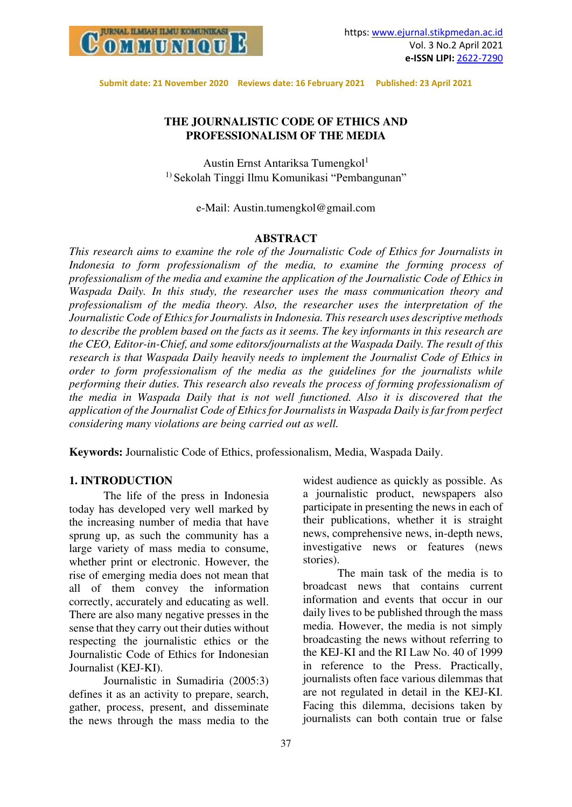

# **THE JOURNALISTIC CODE OF ETHICS AND PROFESSIONALISM OF THE MEDIA**

Austin Ernst Antariksa Tumengkol<sup>1</sup> 1) Sekolah Tinggi Ilmu Komunikasi "Pembangunan"

e-Mail: Austin.tumengkol@gmail.com

## **ABSTRACT**

*This research aims to examine the role of the Journalistic Code of Ethics for Journalists in Indonesia to form professionalism of the media, to examine the forming process of professionalism of the media and examine the application of the Journalistic Code of Ethics in Waspada Daily. In this study, the researcher uses the mass communication theory and professionalism of the media theory. Also, the researcher uses the interpretation of the Journalistic Code of Ethics for Journalists in Indonesia. This research uses descriptive methods to describe the problem based on the facts as it seems. The key informants in this research are the CEO, Editor-in-Chief, and some editors/journalists at the Waspada Daily. The result of this research is that Waspada Daily heavily needs to implement the Journalist Code of Ethics in order to form professionalism of the media as the guidelines for the journalists while performing their duties. This research also reveals the process of forming professionalism of the media in Waspada Daily that is not well functioned. Also it is discovered that the application of the Journalist Code of Ethics for Journalists in Waspada Daily is far from perfect considering many violations are being carried out as well.* 

**Keywords:** Journalistic Code of Ethics, professionalism, Media, Waspada Daily.

## **1. INTRODUCTION**

The life of the press in Indonesia today has developed very well marked by the increasing number of media that have sprung up, as such the community has a large variety of mass media to consume, whether print or electronic. However, the rise of emerging media does not mean that all of them convey the information correctly, accurately and educating as well. There are also many negative presses in the sense that they carry out their duties without respecting the journalistic ethics or the Journalistic Code of Ethics for Indonesian Journalist (KEJ-KI).

Journalistic in Sumadiria (2005:3) defines it as an activity to prepare, search, gather, process, present, and disseminate the news through the mass media to the

widest audience as quickly as possible. As a journalistic product, newspapers also participate in presenting the news in each of their publications, whether it is straight news, comprehensive news, in-depth news, investigative news or features (news stories).

The main task of the media is to broadcast news that contains current information and events that occur in our daily lives to be published through the mass media. However, the media is not simply broadcasting the news without referring to the KEJ-KI and the RI Law No. 40 of 1999 in reference to the Press. Practically, journalists often face various dilemmas that are not regulated in detail in the KEJ-KI. Facing this dilemma, decisions taken by journalists can both contain true or false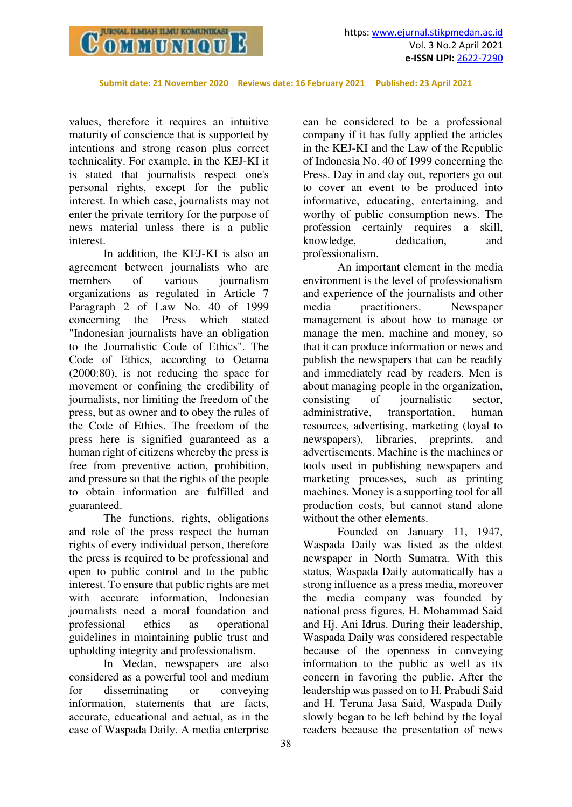

values, therefore it requires an intuitive maturity of conscience that is supported by intentions and strong reason plus correct technicality. For example, in the KEJ-KI it is stated that journalists respect one's personal rights, except for the public interest. In which case, journalists may not enter the private territory for the purpose of news material unless there is a public interest.

In addition, the KEJ-KI is also an agreement between journalists who are members of various journalism organizations as regulated in Article 7 Paragraph 2 of Law No. 40 of 1999 concerning the Press which stated "Indonesian journalists have an obligation to the Journalistic Code of Ethics". The Code of Ethics, according to Oetama (2000:80), is not reducing the space for movement or confining the credibility of journalists, nor limiting the freedom of the press, but as owner and to obey the rules of the Code of Ethics. The freedom of the press here is signified guaranteed as a human right of citizens whereby the press is free from preventive action, prohibition, and pressure so that the rights of the people to obtain information are fulfilled and guaranteed.

The functions, rights, obligations and role of the press respect the human rights of every individual person, therefore the press is required to be professional and open to public control and to the public interest. To ensure that public rights are met with accurate information, Indonesian journalists need a moral foundation and professional ethics as operational guidelines in maintaining public trust and upholding integrity and professionalism.

In Medan, newspapers are also considered as a powerful tool and medium for disseminating or conveying information, statements that are facts, accurate, educational and actual, as in the case of Waspada Daily. A media enterprise

can be considered to be a professional company if it has fully applied the articles in the KEJ-KI and the Law of the Republic of Indonesia No. 40 of 1999 concerning the Press. Day in and day out, reporters go out to cover an event to be produced into informative, educating, entertaining, and worthy of public consumption news. The profession certainly requires a skill,<br>knowledge, dedication, and knowledge, dedication, and professionalism.

An important element in the media environment is the level of professionalism and experience of the journalists and other media practitioners. Newspaper management is about how to manage or manage the men, machine and money, so that it can produce information or news and publish the newspapers that can be readily and immediately read by readers. Men is about managing people in the organization, consisting of journalistic sector, administrative, transportation, human resources, advertising, marketing (loyal to newspapers), libraries, preprints, and advertisements. Machine is the machines or tools used in publishing newspapers and marketing processes, such as printing machines. Money is a supporting tool for all production costs, but cannot stand alone without the other elements.

Founded on January 11, 1947, Waspada Daily was listed as the oldest newspaper in North Sumatra. With this status, Waspada Daily automatically has a strong influence as a press media, moreover the media company was founded by national press figures, H. Mohammad Said and Hj. Ani Idrus. During their leadership, Waspada Daily was considered respectable because of the openness in conveying information to the public as well as its concern in favoring the public. After the leadership was passed on to H. Prabudi Said and H. Teruna Jasa Said, Waspada Daily slowly began to be left behind by the loyal readers because the presentation of news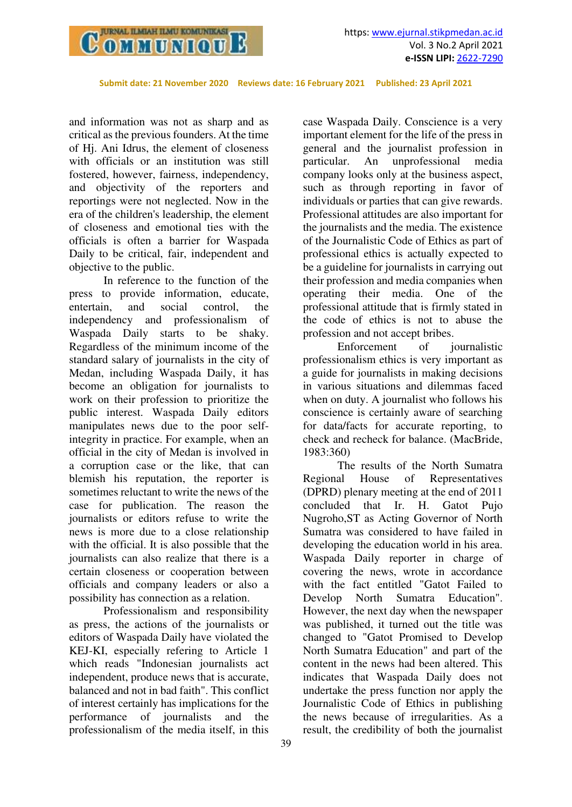

and information was not as sharp and as critical as the previous founders. At the time of Hj. Ani Idrus, the element of closeness with officials or an institution was still fostered, however, fairness, independency, and objectivity of the reporters and reportings were not neglected. Now in the era of the children's leadership, the element of closeness and emotional ties with the officials is often a barrier for Waspada Daily to be critical, fair, independent and objective to the public.

In reference to the function of the press to provide information, educate, entertain, and social control, the independency and professionalism of Waspada Daily starts to be shaky. Regardless of the minimum income of the standard salary of journalists in the city of Medan, including Waspada Daily, it has become an obligation for journalists to work on their profession to prioritize the public interest. Waspada Daily editors manipulates news due to the poor selfintegrity in practice. For example, when an official in the city of Medan is involved in a corruption case or the like, that can blemish his reputation, the reporter is sometimes reluctant to write the news of the case for publication. The reason the journalists or editors refuse to write the news is more due to a close relationship with the official. It is also possible that the journalists can also realize that there is a certain closeness or cooperation between officials and company leaders or also a possibility has connection as a relation.

Professionalism and responsibility as press, the actions of the journalists or editors of Waspada Daily have violated the KEJ-KI, especially refering to Article 1 which reads "Indonesian journalists act independent, produce news that is accurate, balanced and not in bad faith". This conflict of interest certainly has implications for the performance of journalists and the professionalism of the media itself, in this

case Waspada Daily. Conscience is a very important element for the life of the press in general and the journalist profession in particular. An unprofessional media company looks only at the business aspect, such as through reporting in favor of individuals or parties that can give rewards. Professional attitudes are also important for the journalists and the media. The existence of the Journalistic Code of Ethics as part of professional ethics is actually expected to be a guideline for journalists in carrying out their profession and media companies when operating their media. One of the professional attitude that is firmly stated in the code of ethics is not to abuse the profession and not accept bribes.

Enforcement of journalistic professionalism ethics is very important as a guide for journalists in making decisions in various situations and dilemmas faced when on duty. A journalist who follows his conscience is certainly aware of searching for data/facts for accurate reporting, to check and recheck for balance. (MacBride, 1983:360)

The results of the North Sumatra Regional House of Representatives (DPRD) plenary meeting at the end of 2011 concluded that Ir. H. Gatot Pujo Nugroho,ST as Acting Governor of North Sumatra was considered to have failed in developing the education world in his area. Waspada Daily reporter in charge of covering the news, wrote in accordance with the fact entitled "Gatot Failed to Develop North Sumatra Education". However, the next day when the newspaper was published, it turned out the title was changed to "Gatot Promised to Develop North Sumatra Education" and part of the content in the news had been altered. This indicates that Waspada Daily does not undertake the press function nor apply the Journalistic Code of Ethics in publishing the news because of irregularities. As a result, the credibility of both the journalist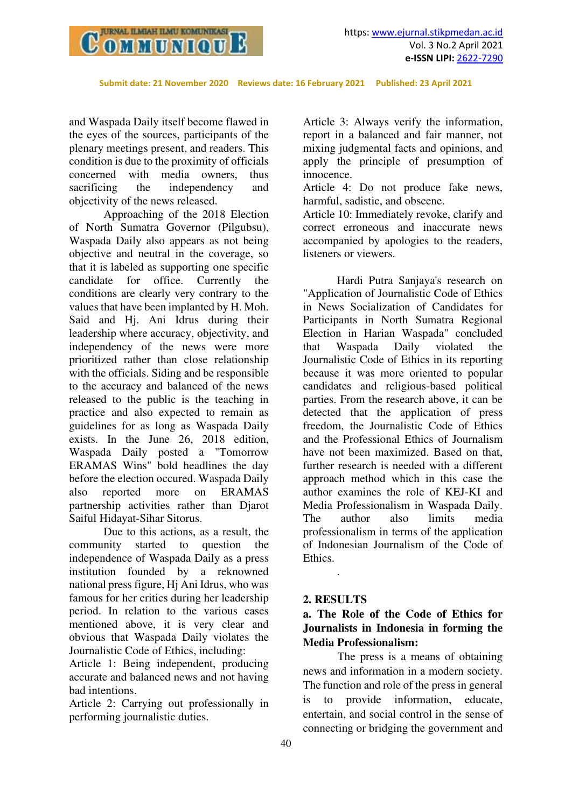

and Waspada Daily itself become flawed in the eyes of the sources, participants of the plenary meetings present, and readers. This condition is due to the proximity of officials concerned with media owners, thus sacrificing the independency and objectivity of the news released.

Approaching of the 2018 Election of North Sumatra Governor (Pilgubsu), Waspada Daily also appears as not being objective and neutral in the coverage, so that it is labeled as supporting one specific candidate for office. Currently the conditions are clearly very contrary to the values that have been implanted by H. Moh. Said and Hj. Ani Idrus during their leadership where accuracy, objectivity, and independency of the news were more prioritized rather than close relationship with the officials. Siding and be responsible to the accuracy and balanced of the news released to the public is the teaching in practice and also expected to remain as guidelines for as long as Waspada Daily exists. In the June 26, 2018 edition, Waspada Daily posted a "Tomorrow ERAMAS Wins" bold headlines the day before the election occured. Waspada Daily also reported more on ERAMAS partnership activities rather than Djarot Saiful Hidayat-Sihar Sitorus.

Due to this actions, as a result, the community started to question the independence of Waspada Daily as a press institution founded by a reknowned national press figure, Hj Ani Idrus, who was famous for her critics during her leadership period. In relation to the various cases mentioned above, it is very clear and obvious that Waspada Daily violates the Journalistic Code of Ethics, including:

Article 1: Being independent, producing accurate and balanced news and not having bad intentions.

Article 2: Carrying out professionally in performing journalistic duties.

Article 3: Always verify the information, report in a balanced and fair manner, not mixing judgmental facts and opinions, and apply the principle of presumption of innocence.

Article 4: Do not produce fake news, harmful, sadistic, and obscene.

Article 10: Immediately revoke, clarify and correct erroneous and inaccurate news accompanied by apologies to the readers, listeners or viewers.

Hardi Putra Sanjaya's research on "Application of Journalistic Code of Ethics in News Socialization of Candidates for Participants in North Sumatra Regional Election in Harian Waspada" concluded that Waspada Daily violated the Journalistic Code of Ethics in its reporting because it was more oriented to popular candidates and religious-based political parties. From the research above, it can be detected that the application of press freedom, the Journalistic Code of Ethics and the Professional Ethics of Journalism have not been maximized. Based on that, further research is needed with a different approach method which in this case the author examines the role of KEJ-KI and Media Professionalism in Waspada Daily. The author also limits media professionalism in terms of the application of Indonesian Journalism of the Code of Ethics.

## **2. RESULTS**

.

# **a. The Role of the Code of Ethics for Journalists in Indonesia in forming the Media Professionalism:**

The press is a means of obtaining news and information in a modern society. The function and role of the press in general is to provide information, educate, entertain, and social control in the sense of connecting or bridging the government and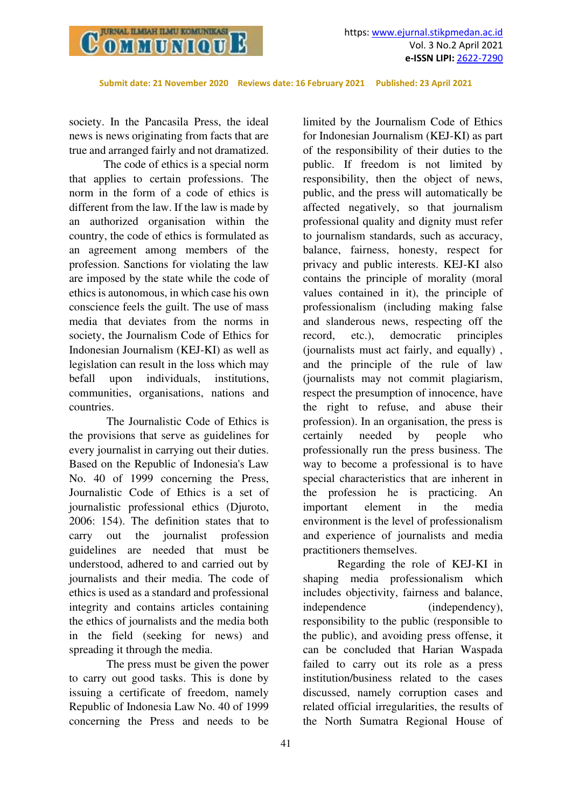

society. In the Pancasila Press, the ideal news is news originating from facts that are true and arranged fairly and not dramatized.

The code of ethics is a special norm that applies to certain professions. The norm in the form of a code of ethics is different from the law. If the law is made by an authorized organisation within the country, the code of ethics is formulated as an agreement among members of the profession. Sanctions for violating the law are imposed by the state while the code of ethics is autonomous, in which case his own conscience feels the guilt. The use of mass media that deviates from the norms in society, the Journalism Code of Ethics for Indonesian Journalism (KEJ-KI) as well as legislation can result in the loss which may befall upon individuals, institutions, communities, organisations, nations and countries.

 The Journalistic Code of Ethics is the provisions that serve as guidelines for every journalist in carrying out their duties. Based on the Republic of Indonesia's Law No. 40 of 1999 concerning the Press, Journalistic Code of Ethics is a set of journalistic professional ethics (Djuroto, 2006: 154). The definition states that to carry out the journalist profession guidelines are needed that must be understood, adhered to and carried out by journalists and their media. The code of ethics is used as a standard and professional integrity and contains articles containing the ethics of journalists and the media both in the field (seeking for news) and spreading it through the media.

 The press must be given the power to carry out good tasks. This is done by issuing a certificate of freedom, namely Republic of Indonesia Law No. 40 of 1999 concerning the Press and needs to be

limited by the Journalism Code of Ethics for Indonesian Journalism (KEJ-KI) as part of the responsibility of their duties to the public. If freedom is not limited by responsibility, then the object of news, public, and the press will automatically be affected negatively, so that journalism professional quality and dignity must refer to journalism standards, such as accuracy, balance, fairness, honesty, respect for privacy and public interests. KEJ-KI also contains the principle of morality (moral values contained in it), the principle of professionalism (including making false and slanderous news, respecting off the record, etc.), democratic principles (journalists must act fairly, and equally) , and the principle of the rule of law (journalists may not commit plagiarism, respect the presumption of innocence, have the right to refuse, and abuse their profession). In an organisation, the press is certainly needed by people who professionally run the press business. The way to become a professional is to have special characteristics that are inherent in the profession he is practicing. An important element in the media environment is the level of professionalism and experience of journalists and media practitioners themselves.

Regarding the role of KEJ-KI in shaping media professionalism which includes objectivity, fairness and balance, independence (independency), responsibility to the public (responsible to the public), and avoiding press offense, it can be concluded that Harian Waspada failed to carry out its role as a press institution/business related to the cases discussed, namely corruption cases and related official irregularities, the results of the North Sumatra Regional House of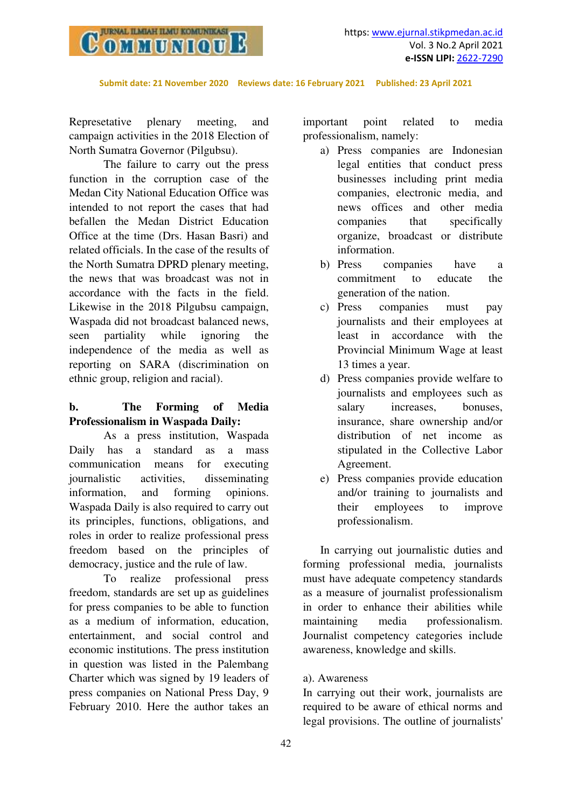

Represetative plenary meeting, and campaign activities in the 2018 Election of North Sumatra Governor (Pilgubsu).

The failure to carry out the press function in the corruption case of the Medan City National Education Office was intended to not report the cases that had befallen the Medan District Education Office at the time (Drs. Hasan Basri) and related officials. In the case of the results of the North Sumatra DPRD plenary meeting, the news that was broadcast was not in accordance with the facts in the field. Likewise in the 2018 Pilgubsu campaign, Waspada did not broadcast balanced news, seen partiality while ignoring the independence of the media as well as reporting on SARA (discrimination on ethnic group, religion and racial).

# **b. The Forming of Media Professionalism in Waspada Daily:**

As a press institution, Waspada Daily has a standard as a mass communication means for executing journalistic activities, disseminating information, and forming opinions. Waspada Daily is also required to carry out its principles, functions, obligations, and roles in order to realize professional press freedom based on the principles of democracy, justice and the rule of law.

To realize professional press freedom, standards are set up as guidelines for press companies to be able to function as a medium of information, education, entertainment, and social control and economic institutions. The press institution in question was listed in the Palembang Charter which was signed by 19 leaders of press companies on National Press Day, 9 February 2010. Here the author takes an

important point related to media professionalism, namely:

- a) Press companies are Indonesian legal entities that conduct press businesses including print media companies, electronic media, and news offices and other media companies that specifically organize, broadcast or distribute information.
- b) Press companies have a commitment to educate the generation of the nation.
- c) Press companies must pay journalists and their employees at least in accordance with the Provincial Minimum Wage at least 13 times a year.
- d) Press companies provide welfare to journalists and employees such as salary increases, bonuses, insurance, share ownership and/or distribution of net income as stipulated in the Collective Labor Agreement.
- e) Press companies provide education and/or training to journalists and their employees to improve professionalism.

In carrying out journalistic duties and forming professional media, journalists must have adequate competency standards as a measure of journalist professionalism in order to enhance their abilities while maintaining media professionalism. Journalist competency categories include awareness, knowledge and skills.

## a). Awareness

In carrying out their work, journalists are required to be aware of ethical norms and legal provisions. The outline of journalists'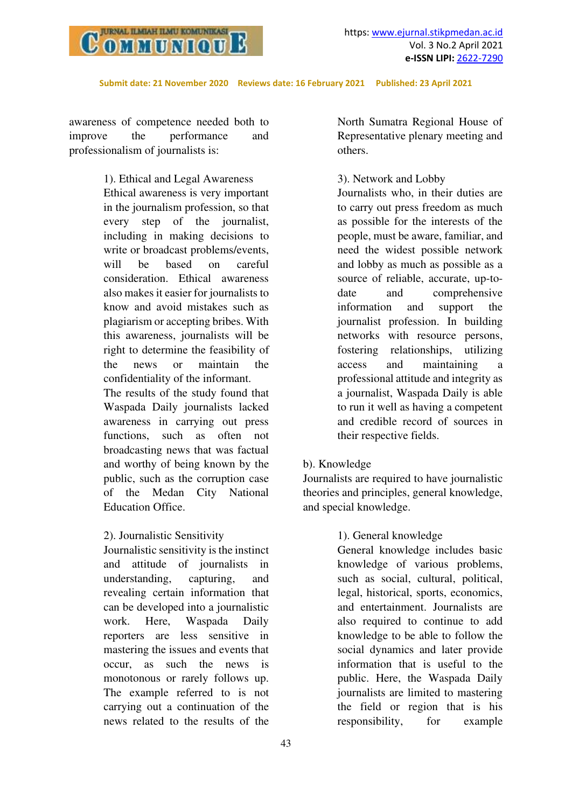

awareness of competence needed both to improve the performance and professionalism of journalists is:

> 1). Ethical and Legal Awareness Ethical awareness is very important in the journalism profession, so that every step of the journalist, including in making decisions to write or broadcast problems/events, will be based on careful consideration. Ethical awareness also makes it easier for journalists to know and avoid mistakes such as plagiarism or accepting bribes. With this awareness, journalists will be right to determine the feasibility of the news or maintain the confidentiality of the informant.

> The results of the study found that Waspada Daily journalists lacked awareness in carrying out press functions, such as often not broadcasting news that was factual and worthy of being known by the public, such as the corruption case of the Medan City National Education Office.

## 2). Journalistic Sensitivity

Journalistic sensitivity is the instinct and attitude of journalists in understanding, capturing, and revealing certain information that can be developed into a journalistic work. Here, Waspada Daily reporters are less sensitive in mastering the issues and events that occur, as such the news is monotonous or rarely follows up. The example referred to is not carrying out a continuation of the news related to the results of the North Sumatra Regional House of Representative plenary meeting and others.

#### 3). Network and Lobby

Journalists who, in their duties are to carry out press freedom as much as possible for the interests of the people, must be aware, familiar, and need the widest possible network and lobby as much as possible as a source of reliable, accurate, up-todate and comprehensive information and support the journalist profession. In building networks with resource persons, fostering relationships, utilizing access and maintaining a professional attitude and integrity as a journalist, Waspada Daily is able to run it well as having a competent and credible record of sources in their respective fields.

## b). Knowledge

Journalists are required to have journalistic theories and principles, general knowledge, and special knowledge.

## 1). General knowledge

General knowledge includes basic knowledge of various problems, such as social, cultural, political, legal, historical, sports, economics, and entertainment. Journalists are also required to continue to add knowledge to be able to follow the social dynamics and later provide information that is useful to the public. Here, the Waspada Daily journalists are limited to mastering the field or region that is his responsibility, for example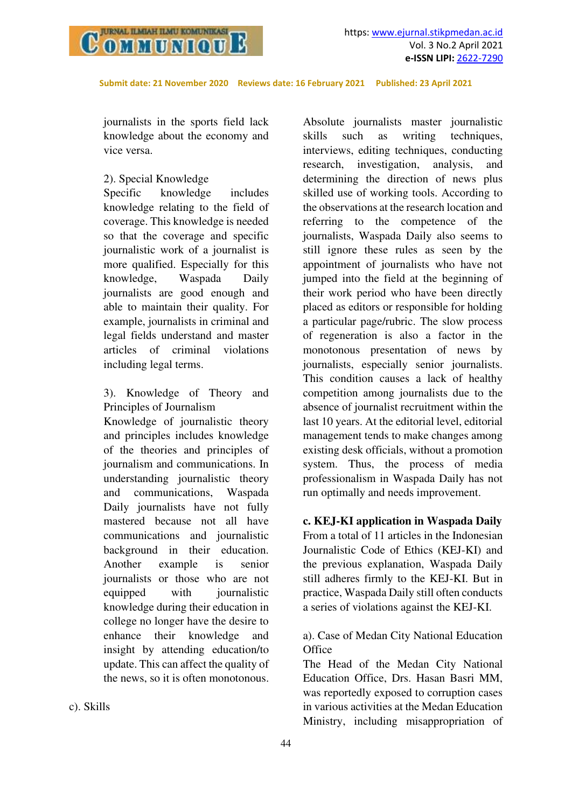

journalists in the sports field lack knowledge about the economy and vice versa.

#### 2). Special Knowledge

Specific knowledge includes knowledge relating to the field of coverage. This knowledge is needed so that the coverage and specific journalistic work of a journalist is more qualified. Especially for this knowledge, Waspada Daily journalists are good enough and able to maintain their quality. For example, journalists in criminal and legal fields understand and master articles of criminal violations including legal terms.

3). Knowledge of Theory and Principles of Journalism

Knowledge of journalistic theory and principles includes knowledge of the theories and principles of journalism and communications. In understanding journalistic theory and communications, Waspada Daily journalists have not fully mastered because not all have communications and journalistic background in their education. Another example is senior journalists or those who are not equipped with journalistic knowledge during their education in college no longer have the desire to enhance their knowledge and insight by attending education/to update. This can affect the quality of the news, so it is often monotonous.

Absolute journalists master journalistic skills such as writing techniques, interviews, editing techniques, conducting research, investigation, analysis, and determining the direction of news plus skilled use of working tools. According to the observations at the research location and referring to the competence of the journalists, Waspada Daily also seems to still ignore these rules as seen by the appointment of journalists who have not jumped into the field at the beginning of their work period who have been directly placed as editors or responsible for holding a particular page/rubric. The slow process of regeneration is also a factor in the monotonous presentation of news by journalists, especially senior journalists. This condition causes a lack of healthy competition among journalists due to the absence of journalist recruitment within the last 10 years. At the editorial level, editorial management tends to make changes among existing desk officials, without a promotion system. Thus, the process of media professionalism in Waspada Daily has not run optimally and needs improvement.

**c. KEJ-KI application in Waspada Daily**  From a total of 11 articles in the Indonesian Journalistic Code of Ethics (KEJ-KI) and the previous explanation, Waspada Daily still adheres firmly to the KEJ-KI. But in practice, Waspada Daily still often conducts a series of violations against the KEJ-KI.

## a). Case of Medan City National Education **Office**

The Head of the Medan City National Education Office, Drs. Hasan Basri MM, was reportedly exposed to corruption cases in various activities at the Medan Education Ministry, including misappropriation of

c). Skills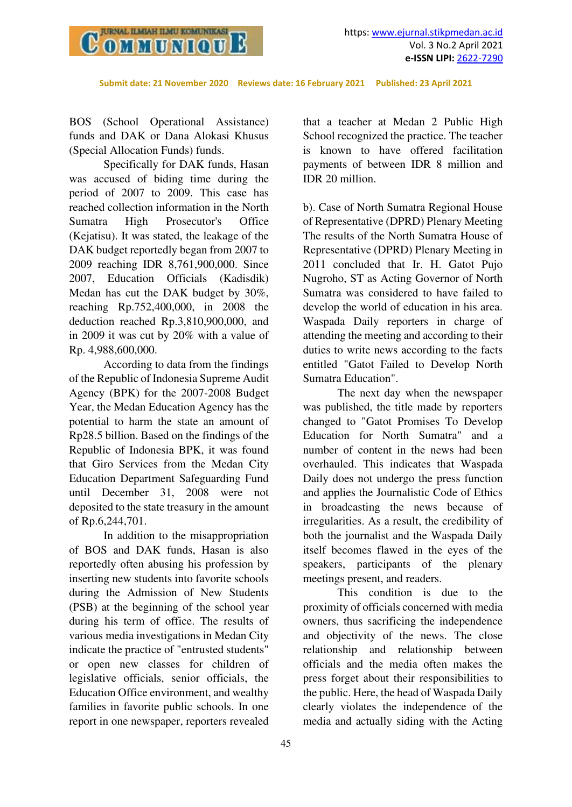

BOS (School Operational Assistance) funds and DAK or Dana Alokasi Khusus (Special Allocation Funds) funds.

Specifically for DAK funds, Hasan was accused of biding time during the period of 2007 to 2009. This case has reached collection information in the North Sumatra High Prosecutor's Office (Kejatisu). It was stated, the leakage of the DAK budget reportedly began from 2007 to 2009 reaching IDR 8,761,900,000. Since 2007, Education Officials (Kadisdik) Medan has cut the DAK budget by 30%, reaching Rp.752,400,000, in 2008 the deduction reached Rp.3,810,900,000, and in 2009 it was cut by 20% with a value of Rp. 4,988,600,000.

According to data from the findings of the Republic of Indonesia Supreme Audit Agency (BPK) for the 2007-2008 Budget Year, the Medan Education Agency has the potential to harm the state an amount of Rp28.5 billion. Based on the findings of the Republic of Indonesia BPK, it was found that Giro Services from the Medan City Education Department Safeguarding Fund until December 31, 2008 were not deposited to the state treasury in the amount of Rp.6,244,701.

In addition to the misappropriation of BOS and DAK funds, Hasan is also reportedly often abusing his profession by inserting new students into favorite schools during the Admission of New Students (PSB) at the beginning of the school year during his term of office. The results of various media investigations in Medan City indicate the practice of "entrusted students" or open new classes for children of legislative officials, senior officials, the Education Office environment, and wealthy families in favorite public schools. In one report in one newspaper, reporters revealed

that a teacher at Medan 2 Public High School recognized the practice. The teacher is known to have offered facilitation payments of between IDR 8 million and IDR 20 million.

b). Case of North Sumatra Regional House of Representative (DPRD) Plenary Meeting The results of the North Sumatra House of Representative (DPRD) Plenary Meeting in 2011 concluded that Ir. H. Gatot Pujo Nugroho, ST as Acting Governor of North Sumatra was considered to have failed to develop the world of education in his area. Waspada Daily reporters in charge of attending the meeting and according to their duties to write news according to the facts entitled "Gatot Failed to Develop North Sumatra Education".

The next day when the newspaper was published, the title made by reporters changed to "Gatot Promises To Develop Education for North Sumatra" and a number of content in the news had been overhauled. This indicates that Waspada Daily does not undergo the press function and applies the Journalistic Code of Ethics in broadcasting the news because of irregularities. As a result, the credibility of both the journalist and the Waspada Daily itself becomes flawed in the eyes of the speakers, participants of the plenary meetings present, and readers.

This condition is due to the proximity of officials concerned with media owners, thus sacrificing the independence and objectivity of the news. The close relationship and relationship between officials and the media often makes the press forget about their responsibilities to the public. Here, the head of Waspada Daily clearly violates the independence of the media and actually siding with the Acting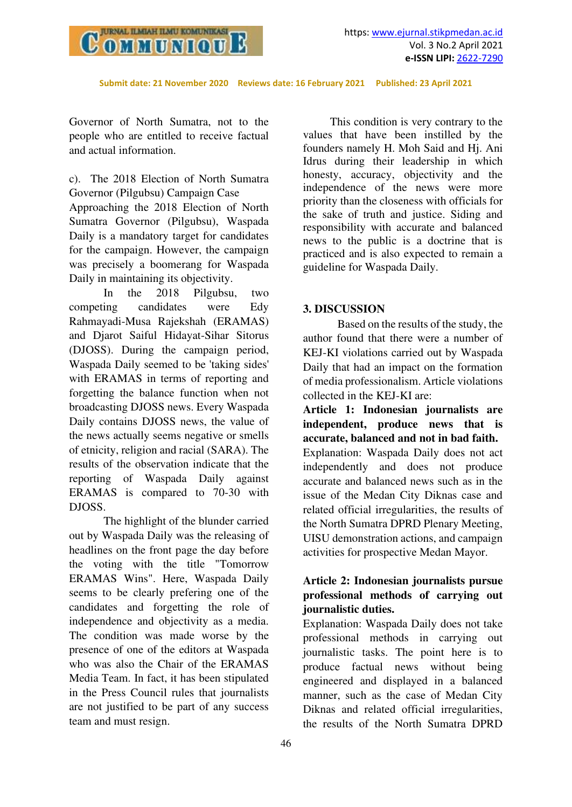

Governor of North Sumatra, not to the people who are entitled to receive factual and actual information.

c). The 2018 Election of North Sumatra Governor (Pilgubsu) Campaign Case

Approaching the 2018 Election of North Sumatra Governor (Pilgubsu), Waspada Daily is a mandatory target for candidates for the campaign. However, the campaign was precisely a boomerang for Waspada Daily in maintaining its objectivity.

In the 2018 Pilgubsu, two competing candidates were Edy Rahmayadi-Musa Rajekshah (ERAMAS) and Djarot Saiful Hidayat-Sihar Sitorus (DJOSS). During the campaign period, Waspada Daily seemed to be 'taking sides' with ERAMAS in terms of reporting and forgetting the balance function when not broadcasting DJOSS news. Every Waspada Daily contains DJOSS news, the value of the news actually seems negative or smells of etnicity, religion and racial (SARA). The results of the observation indicate that the reporting of Waspada Daily against ERAMAS is compared to 70-30 with DJOSS.

The highlight of the blunder carried out by Waspada Daily was the releasing of headlines on the front page the day before the voting with the title "Tomorrow ERAMAS Wins". Here, Waspada Daily seems to be clearly prefering one of the candidates and forgetting the role of independence and objectivity as a media. The condition was made worse by the presence of one of the editors at Waspada who was also the Chair of the ERAMAS Media Team. In fact, it has been stipulated in the Press Council rules that journalists are not justified to be part of any success team and must resign.

This condition is very contrary to the values that have been instilled by the founders namely H. Moh Said and Hj. Ani Idrus during their leadership in which honesty, accuracy, objectivity and the independence of the news were more priority than the closeness with officials for the sake of truth and justice. Siding and responsibility with accurate and balanced news to the public is a doctrine that is practiced and is also expected to remain a guideline for Waspada Daily.

## **3. DISCUSSION**

Based on the results of the study, the author found that there were a number of KEJ-KI violations carried out by Waspada Daily that had an impact on the formation of media professionalism. Article violations collected in the KEJ-KI are:

**Article 1: Indonesian journalists are independent, produce news that is accurate, balanced and not in bad faith.**  Explanation: Waspada Daily does not act independently and does not produce accurate and balanced news such as in the issue of the Medan City Diknas case and related official irregularities, the results of the North Sumatra DPRD Plenary Meeting, UISU demonstration actions, and campaign activities for prospective Medan Mayor.

# **Article 2: Indonesian journalists pursue professional methods of carrying out journalistic duties.**

Explanation: Waspada Daily does not take professional methods in carrying out journalistic tasks. The point here is to produce factual news without being engineered and displayed in a balanced manner, such as the case of Medan City Diknas and related official irregularities, the results of the North Sumatra DPRD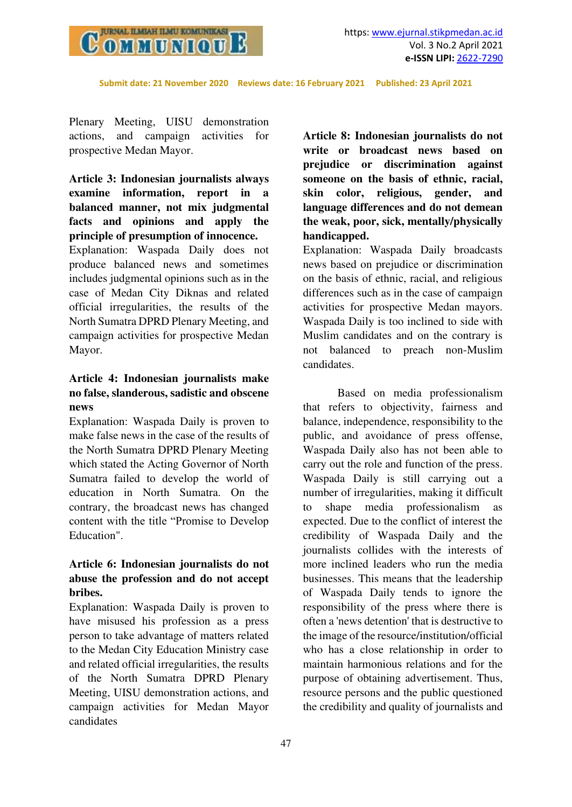

Plenary Meeting, UISU demonstration actions, and campaign activities for prospective Medan Mayor.

# **Article 3: Indonesian journalists always examine information, report in a balanced manner, not mix judgmental facts and opinions and apply the principle of presumption of innocence.**

Explanation: Waspada Daily does not produce balanced news and sometimes includes judgmental opinions such as in the case of Medan City Diknas and related official irregularities, the results of the North Sumatra DPRD Plenary Meeting, and campaign activities for prospective Medan Mayor.

# **Article 4: Indonesian journalists make no false, slanderous, sadistic and obscene news**

Explanation: Waspada Daily is proven to make false news in the case of the results of the North Sumatra DPRD Plenary Meeting which stated the Acting Governor of North Sumatra failed to develop the world of education in North Sumatra. On the contrary, the broadcast news has changed content with the title "Promise to Develop Education".

# **Article 6: Indonesian journalists do not abuse the profession and do not accept bribes.**

Explanation: Waspada Daily is proven to have misused his profession as a press person to take advantage of matters related to the Medan City Education Ministry case and related official irregularities, the results of the North Sumatra DPRD Plenary Meeting, UISU demonstration actions, and campaign activities for Medan Mayor candidates

**Article 8: Indonesian journalists do not write or broadcast news based on prejudice or discrimination against someone on the basis of ethnic, racial, skin color, religious, gender, and language differences and do not demean the weak, poor, sick, mentally/physically handicapped.** 

Explanation: Waspada Daily broadcasts news based on prejudice or discrimination on the basis of ethnic, racial, and religious differences such as in the case of campaign activities for prospective Medan mayors. Waspada Daily is too inclined to side with Muslim candidates and on the contrary is not balanced to preach non-Muslim candidates.

Based on media professionalism that refers to objectivity, fairness and balance, independence, responsibility to the public, and avoidance of press offense, Waspada Daily also has not been able to carry out the role and function of the press. Waspada Daily is still carrying out a number of irregularities, making it difficult to shape media professionalism as expected. Due to the conflict of interest the credibility of Waspada Daily and the journalists collides with the interests of more inclined leaders who run the media businesses. This means that the leadership of Waspada Daily tends to ignore the responsibility of the press where there is often a 'news detention' that is destructive to the image of the resource/institution/official who has a close relationship in order to maintain harmonious relations and for the purpose of obtaining advertisement. Thus, resource persons and the public questioned the credibility and quality of journalists and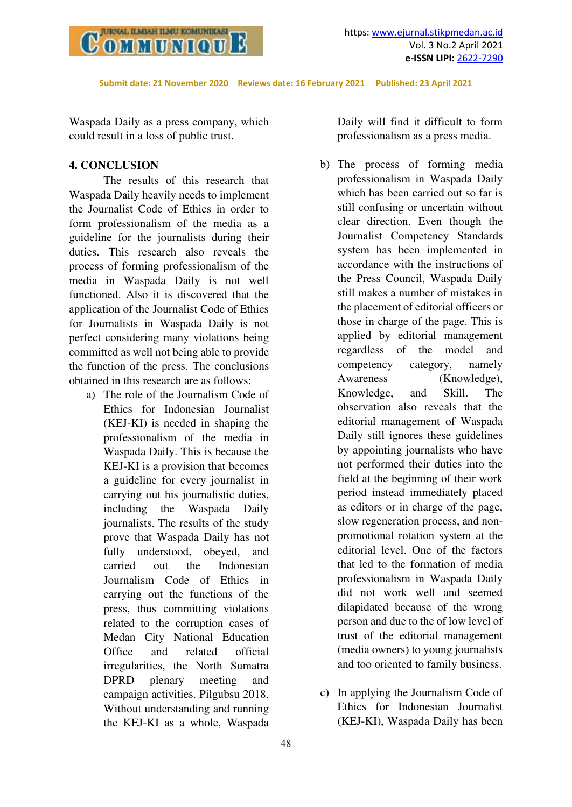

Waspada Daily as a press company, which could result in a loss of public trust.

## **4. CONCLUSION**

The results of this research that Waspada Daily heavily needs to implement the Journalist Code of Ethics in order to form professionalism of the media as a guideline for the journalists during their duties. This research also reveals the process of forming professionalism of the media in Waspada Daily is not well functioned. Also it is discovered that the application of the Journalist Code of Ethics for Journalists in Waspada Daily is not perfect considering many violations being committed as well not being able to provide the function of the press. The conclusions obtained in this research are as follows:

a) The role of the Journalism Code of Ethics for Indonesian Journalist (KEJ-KI) is needed in shaping the professionalism of the media in Waspada Daily. This is because the KEJ-KI is a provision that becomes a guideline for every journalist in carrying out his journalistic duties, including the Waspada Daily journalists. The results of the study prove that Waspada Daily has not fully understood, obeyed, and carried out the Indonesian Journalism Code of Ethics in carrying out the functions of the press, thus committing violations related to the corruption cases of Medan City National Education Office and related official irregularities, the North Sumatra DPRD plenary meeting and campaign activities. Pilgubsu 2018. Without understanding and running the KEJ-KI as a whole, Waspada

Daily will find it difficult to form professionalism as a press media.

- b) The process of forming media professionalism in Waspada Daily which has been carried out so far is still confusing or uncertain without clear direction. Even though the Journalist Competency Standards system has been implemented in accordance with the instructions of the Press Council, Waspada Daily still makes a number of mistakes in the placement of editorial officers or those in charge of the page. This is applied by editorial management regardless of the model and competency category, namely Awareness (Knowledge), Knowledge, and Skill. The observation also reveals that the editorial management of Waspada Daily still ignores these guidelines by appointing journalists who have not performed their duties into the field at the beginning of their work period instead immediately placed as editors or in charge of the page, slow regeneration process, and nonpromotional rotation system at the editorial level. One of the factors that led to the formation of media professionalism in Waspada Daily did not work well and seemed dilapidated because of the wrong person and due to the of low level of trust of the editorial management (media owners) to young journalists and too oriented to family business.
- c) In applying the Journalism Code of Ethics for Indonesian Journalist (KEJ-KI), Waspada Daily has been